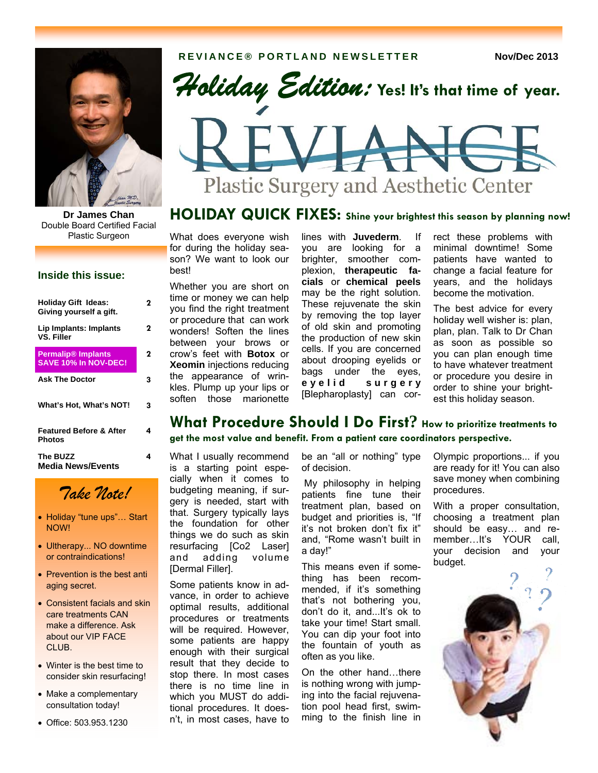

Double Board Certified Facial Plastic Surgeon

#### **Inside this issue:**

| Holiday Gift Ideas:<br>Giving yourself a gift.      | 7 |
|-----------------------------------------------------|---|
| Lip Implants: Implants<br><b>VS. Filler</b>         | 2 |
| <b>Permalip® Implants</b><br>SAVE 10% In NOV-DEC!   | 2 |
| <b>Ask The Doctor</b>                               | 3 |
| What's Hot, What's NOT!                             | 3 |
| <b>Featured Before &amp; After</b><br><b>Photos</b> | 4 |
| The BUZZ<br><b>Media News/Events</b>                | 4 |



- Holiday "tune ups"… Start NOW!
- Ultherapy... NO downtime or contraindications!
- Prevention is the best anti aging secret.
- Consistent facials and skin care treatments CAN make a difference. Ask about our VIP FACE CLUB.
- Winter is the best time to consider skin resurfacing!
- Make a complementary consultation today!
- Office: 503.953.1230



# Plastic Surgery and Aesthetic Center

## **Dr James Chan HOLIDAY QUICK FIXES: Shine your brightest this season by planning now!**

What does everyone wish for during the holiday season? We want to look our best!

Whether you are short on time or money we can help you find the right treatment or procedure that can work wonders! Soften the lines between your brows or crow's feet with **Botox** or **Xeomin** injections reducing the appearance of wrinkles. Plump up your lips or soften those marionette

lines with **Juvederm**. If you are looking for a brighter, smoother complexion, **therapeutic facials** or **chemical peels**  may be the right solution. These rejuvenate the skin by removing the top layer of old skin and promoting the production of new skin cells. If you are concerned about drooping eyelids or bags under the eyes, **e y e l i d s u r g e r y**  [Blepharoplasty] can cor-

rect these problems with minimal downtime! Some patients have wanted to change a facial feature for years, and the holidays become the motivation.

The best advice for every holiday well wisher is: plan, plan, plan. Talk to Dr Chan as soon as possible so you can plan enough time to have whatever treatment or procedure you desire in order to shine your brightest this holiday season.

## **What Procedure Should I Do First? How to prioritize treatments to get the most value and benefit. From a patient care coordinators perspective.**

What I usually recommend is a starting point especially when it comes to budgeting meaning, if surgery is needed, start with that. Surgery typically lays the foundation for other things we do such as skin resurfacing [Co2 Laser] and adding volume [Dermal Filler].

Some patients know in advance, in order to achieve optimal results, additional procedures or treatments will be required. However, some patients are happy enough with their surgical result that they decide to stop there. In most cases there is no time line in which you MUST do additional procedures. It doesn't, in most cases, have to

be an "all or nothing" type of decision.

 My philosophy in helping patients fine tune their treatment plan, based on budget and priorities is, "If it's not broken don't fix it" and, "Rome wasn't built in a day!"

This means even if something has been recommended, if it's something that's not bothering you, don't do it, and...It's ok to take your time! Start small. You can dip your foot into the fountain of youth as often as you like.

On the other hand…there is nothing wrong with jumping into the facial rejuvenation pool head first, swimming to the finish line in Olympic proportions... if you are ready for it! You can also save money when combining procedures.

With a proper consultation, choosing a treatment plan should be easy… and remember…It's YOUR call, your decision and your budget.

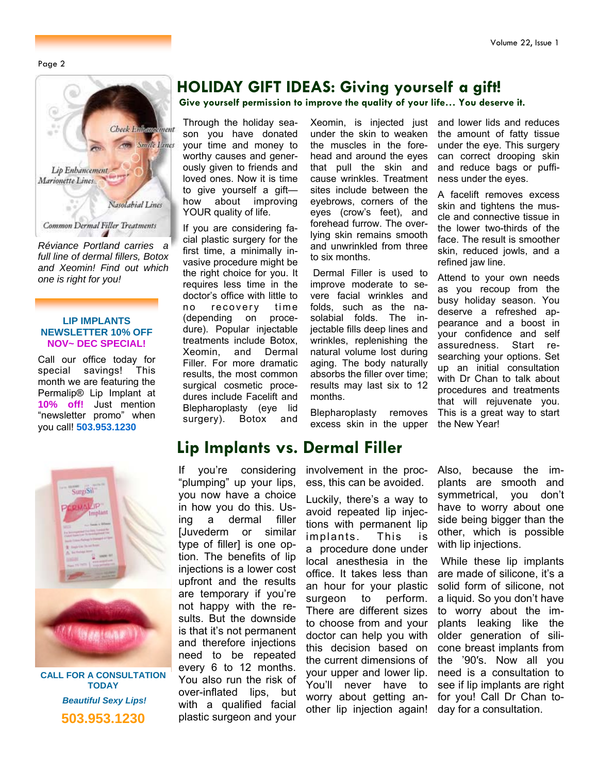Page 2



*Réviance Portland carries a full line of dermal fillers, Botox and Xeomin! Find out which one is right for you!* 

#### **LIP IMPLANTS NEWSLETTER 10% OFF NOV~ DEC SPECIAL!**

Call our office today for special savings! This month we are featuring the Permalip® Lip Implant at **10% off!** Just mention "newsletter promo" when you call! **503.953.1230** 



**CALL FOR A CONSULTATION TODAY**   *Beautiful Sexy Lips!*  **503.953.1230** 

## **HOLIDAY GIFT IDEAS: Giving yourself a gift!**

**Give yourself permission to improve the quality of your life… You deserve it.**

Through the holiday season you have donated your time and money to worthy causes and generously given to friends and loved ones. Now it is time to give yourself a gift how about improving YOUR quality of life.

If you are considering facial plastic surgery for the first time, a minimally invasive procedure might be the right choice for you. It requires less time in the doctor's office with little to no recovery time (depending on procedure). Popular injectable treatments include Botox, Xeomin, and Dermal Filler. For more dramatic results, the most common surgical cosmetic procedures include Facelift and Blepharoplasty (eye lid surgery). Botox and

If you're considering "plumping" up your lips, you now have a choice in how you do this. Using a dermal filler [Juvederm or similar type of filler] is one option. The benefits of lip injections is a lower cost upfront and the results are temporary if you're not happy with the results. But the downside is that it's not permanent and therefore injections need to be repeated every 6 to 12 months. You also run the risk of over-inflated lips, but with a qualified facial plastic surgeon and your

**Lip Implants vs. Dermal Filler** 

Xeomin, is injected just under the skin to weaken the muscles in the forehead and around the eyes that pull the skin and cause wrinkles. Treatment sites include between the eyebrows, corners of the eyes (crow's feet), and forehead furrow. The overlying skin remains smooth and unwrinkled from three to six months.

 Dermal Filler is used to improve moderate to severe facial wrinkles and folds, such as the nasolabial folds. The injectable fills deep lines and wrinkles, replenishing the natural volume lost during aging. The body naturally absorbs the filler over time; results may last six to 12 months.

Blepharoplasty removes excess skin in the upper

involvement in the process, this can be avoided.

Luckily, there's a way to avoid repeated lip injections with permanent lip implants. This is a procedure done under local anesthesia in the office. It takes less than an hour for your plastic surgeon to perform. There are different sizes to choose from and your doctor can help you with this decision based on the current dimensions of your upper and lower lip. You'll never have to worry about getting another lip injection again! and lower lids and reduces the amount of fatty tissue under the eye. This surgery can correct drooping skin and reduce bags or puffiness under the eyes.

A facelift removes excess skin and tightens the muscle and connective tissue in the lower two-thirds of the face. The result is smoother skin, reduced jowls, and a refined jaw line.

Attend to your own needs as you recoup from the busy holiday season. You deserve a refreshed appearance and a boost in your confidence and self assuredness. Start researching your options. Set up an initial consultation with Dr Chan to talk about procedures and treatments that will rejuvenate you. This is a great way to start the New Year!

Also, because the implants are smooth and symmetrical, you don't have to worry about one side being bigger than the other, which is possible with lip injections.

 While these lip implants are made of silicone, it's a solid form of silicone, not a liquid. So you don't have to worry about the implants leaking like the older generation of silicone breast implants from the '90′s. Now all you need is a consultation to see if lip implants are right for you! Call Dr Chan today for a consultation.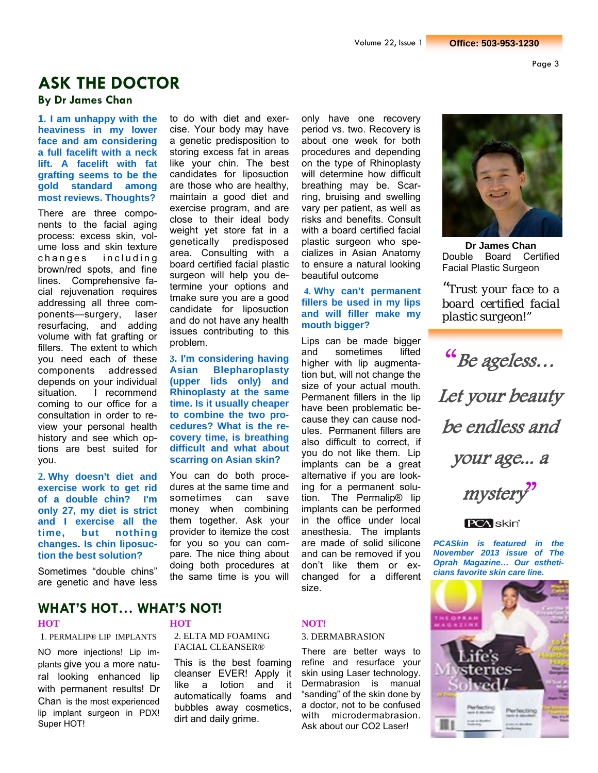## **ASK THE DOCTOR**

### **By Dr James Chan**

**1. I am unhappy with the heaviness in my lower face and am considering a full facelift with a neck lift. A facelift with fat grafting seems to be the gold standard among most reviews. Thoughts?**

There are three components to the facial aging process: excess skin, volume loss and skin texture changes including brown/red spots, and fine lines. Comprehensive facial rejuvenation requires addressing all three components—surgery, laser resurfacing, and adding volume with fat grafting or fillers. The extent to which you need each of these components addressed depends on your individual situation. I recommend coming to our office for a consultation in order to review your personal health history and see which options are best suited for you.

**2. Why doesn't diet and exercise work to get rid of a double chin? I'm only 27, my diet is strict and I exercise all the time, but nothing changes. Is chin liposuction the best solution?** 

Sometimes "double chins" are genetic and have less

#### cise. Your body may have a genetic predisposition to storing excess fat in areas like your chin. The best candidates for liposuction are those who are healthy, maintain a good diet and exercise program, and are close to their ideal body weight yet store fat in a genetically predisposed area. Consulting with a board certified facial plastic surgeon will help you determine your options and tmake sure you are a good candidate for liposuction and do not have any health issues contributing to this problem.

to do with diet and exer-

**3. I'm considering having Asian Blepharoplasty (upper lids only) and Rhinoplasty at the same time. Is it usually cheaper to combine the two procedures? What is the recovery time, is breathing difficult and what about scarring on Asian skin?** 

You can do both procedures at the same time and sometimes can save money when combining them together. Ask your provider to itemize the cost for you so you can compare. The nice thing about doing both procedures at the same time is you will

only have one recovery period vs. two. Recovery is about one week for both procedures and depending on the type of Rhinoplasty will determine how difficult breathing may be. Scarring, bruising and swelling vary per patient, as well as risks and benefits. Consult with a board certified facial plastic surgeon who specializes in Asian Anatomy to ensure a natural looking beautiful outcome

#### **4. Why can't permanent fillers be used in my lips and will filler make my mouth bigger?**

Lips can be made bigger and sometimes lifted higher with lip augmentation but, will not change the size of your actual mouth. Permanent fillers in the lip have been problematic because they can cause nodules. Permanent fillers are also difficult to correct, if you do not like them. Lip implants can be a great alternative if you are looking for a permanent solution. The Permalip® lip implants can be performed in the office under local anesthesia. The implants are made of solid silicone and can be removed if you don't like them or exchanged for a different size.



**Dr James Chan**  Double Board Certified Facial Plastic Surgeon

*"Trust your face to a board certified facial plastic surgeon!"*

"Be ageless… Let your beauty be endless and your age... a

mystery"



*PCASkin is featured in the November 2013 issue of The Oprah Magazine… Our estheticians favorite skin care line.* 



### **WHAT'S HOT… WHAT'S NOT!**

1. PERMALIP® LIP IMPLANTS

NO more injections! Lip implants give you a more natural looking enhanced lip with permanent results! Dr Chan is the most experienced lip implant surgeon in PDX! Super HOT!

2. ELTA MD FOAMING FACIAL CLEANSER®

This is the best foaming cleanser EVER! Apply it like a lotion and it automatically foams and bubbles away cosmetics, dirt and daily grime.

#### **HOT NOT!**

#### 3. DERMABRASION

There are better ways to refine and resurface your skin using Laser technology. Dermabrasion is manual "sanding" of the skin done by a doctor, not to be confused with microdermabrasion. Ask about our CO2 Laser!